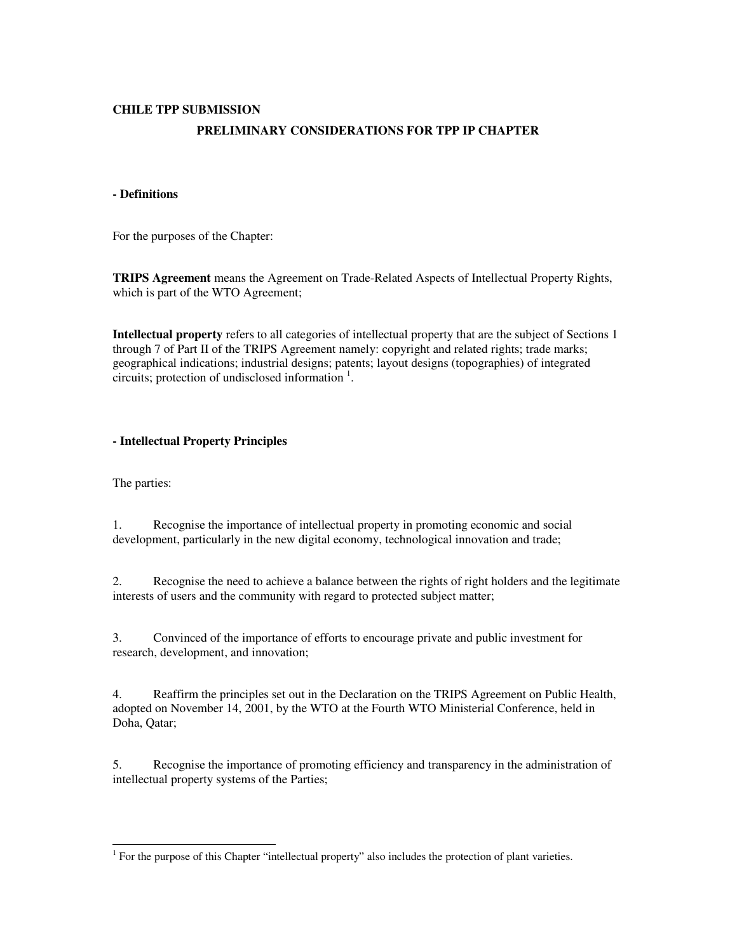## **CHILE TPP SUBMISSION**

# **PRELIMINARY CONSIDERATIONS FOR TPP IP CHAPTER**

### **- Definitions**

For the purposes of the Chapter:

**TRIPS Agreement** means the Agreement on Trade-Related Aspects of Intellectual Property Rights, which is part of the WTO Agreement;

**Intellectual property** refers to all categories of intellectual property that are the subject of Sections 1 through 7 of Part II of the TRIPS Agreement namely: copyright and related rights; trade marks; geographical indications; industrial designs; patents; layout designs (topographies) of integrated circuits; protection of undisclosed information <sup>1</sup> .

### **- Intellectual Property Principles**

The parties:

1. Recognise the importance of intellectual property in promoting economic and social development, particularly in the new digital economy, technological innovation and trade;

2. Recognise the need to achieve a balance between the rights of right holders and the legitimate interests of users and the community with regard to protected subject matter;

3. Convinced of the importance of efforts to encourage private and public investment for research, development, and innovation;

4. Reaffirm the principles set out in the Declaration on the TRIPS Agreement on Public Health, adopted on November 14, 2001, by the WTO at the Fourth WTO Ministerial Conference, held in Doha, Qatar;

5. Recognise the importance of promoting efficiency and transparency in the administration of intellectual property systems of the Parties;

 1 For the purpose of this Chapter "intellectual property" also includes the protection of plant varieties.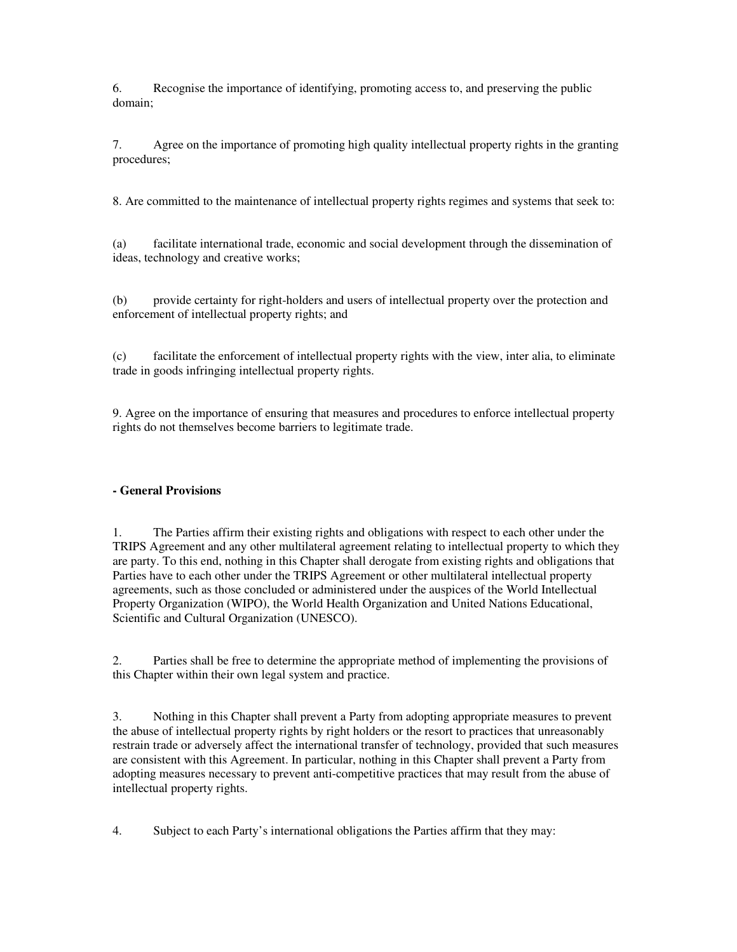6. Recognise the importance of identifying, promoting access to, and preserving the public domain;

7. Agree on the importance of promoting high quality intellectual property rights in the granting procedures;

8. Are committed to the maintenance of intellectual property rights regimes and systems that seek to:

(a) facilitate international trade, economic and social development through the dissemination of ideas, technology and creative works;

(b) provide certainty for right-holders and users of intellectual property over the protection and enforcement of intellectual property rights; and

(c) facilitate the enforcement of intellectual property rights with the view, inter alia, to eliminate trade in goods infringing intellectual property rights.

9. Agree on the importance of ensuring that measures and procedures to enforce intellectual property rights do not themselves become barriers to legitimate trade.

## **- General Provisions**

1. The Parties affirm their existing rights and obligations with respect to each other under the TRIPS Agreement and any other multilateral agreement relating to intellectual property to which they are party. To this end, nothing in this Chapter shall derogate from existing rights and obligations that Parties have to each other under the TRIPS Agreement or other multilateral intellectual property agreements, such as those concluded or administered under the auspices of the World Intellectual Property Organization (WIPO), the World Health Organization and United Nations Educational, Scientific and Cultural Organization (UNESCO).

2. Parties shall be free to determine the appropriate method of implementing the provisions of this Chapter within their own legal system and practice.

3. Nothing in this Chapter shall prevent a Party from adopting appropriate measures to prevent the abuse of intellectual property rights by right holders or the resort to practices that unreasonably restrain trade or adversely affect the international transfer of technology, provided that such measures are consistent with this Agreement. In particular, nothing in this Chapter shall prevent a Party from adopting measures necessary to prevent anti-competitive practices that may result from the abuse of intellectual property rights.

4. Subject to each Party's international obligations the Parties affirm that they may: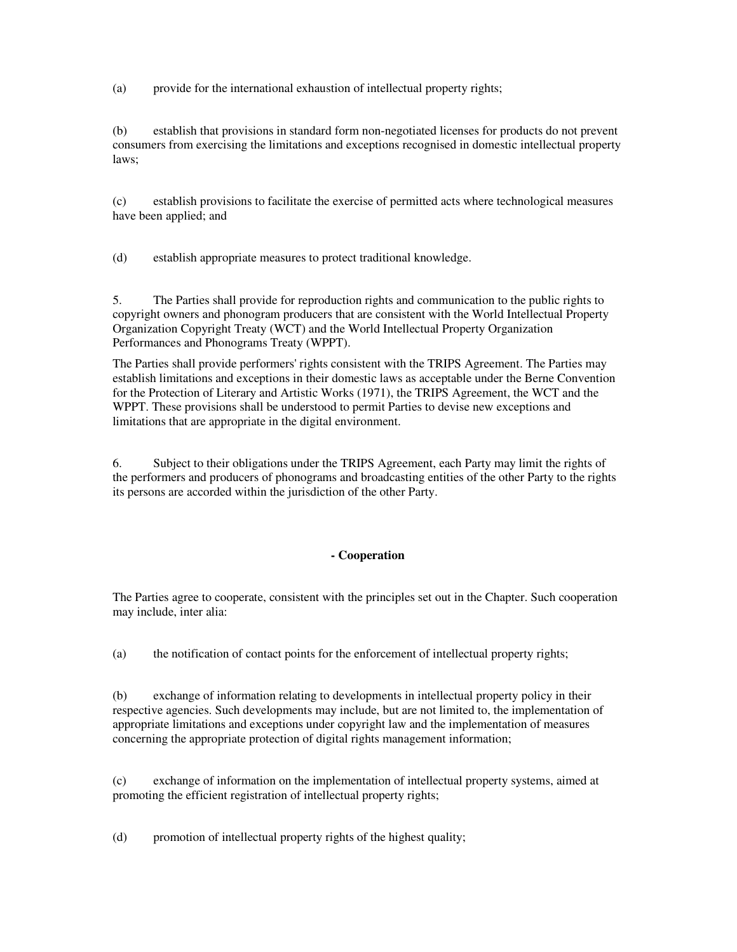(a) provide for the international exhaustion of intellectual property rights;

(b) establish that provisions in standard form non-negotiated licenses for products do not prevent consumers from exercising the limitations and exceptions recognised in domestic intellectual property laws;

(c) establish provisions to facilitate the exercise of permitted acts where technological measures have been applied; and

(d) establish appropriate measures to protect traditional knowledge.

5. The Parties shall provide for reproduction rights and communication to the public rights to copyright owners and phonogram producers that are consistent with the World Intellectual Property Organization Copyright Treaty (WCT) and the World Intellectual Property Organization Performances and Phonograms Treaty (WPPT).

The Parties shall provide performers' rights consistent with the TRIPS Agreement. The Parties may establish limitations and exceptions in their domestic laws as acceptable under the Berne Convention for the Protection of Literary and Artistic Works (1971), the TRIPS Agreement, the WCT and the WPPT. These provisions shall be understood to permit Parties to devise new exceptions and limitations that are appropriate in the digital environment.

6. Subject to their obligations under the TRIPS Agreement, each Party may limit the rights of the performers and producers of phonograms and broadcasting entities of the other Party to the rights its persons are accorded within the jurisdiction of the other Party.

### **- Cooperation**

The Parties agree to cooperate, consistent with the principles set out in the Chapter. Such cooperation may include, inter alia:

(a) the notification of contact points for the enforcement of intellectual property rights;

(b) exchange of information relating to developments in intellectual property policy in their respective agencies. Such developments may include, but are not limited to, the implementation of appropriate limitations and exceptions under copyright law and the implementation of measures concerning the appropriate protection of digital rights management information;

(c) exchange of information on the implementation of intellectual property systems, aimed at promoting the efficient registration of intellectual property rights;

(d) promotion of intellectual property rights of the highest quality;